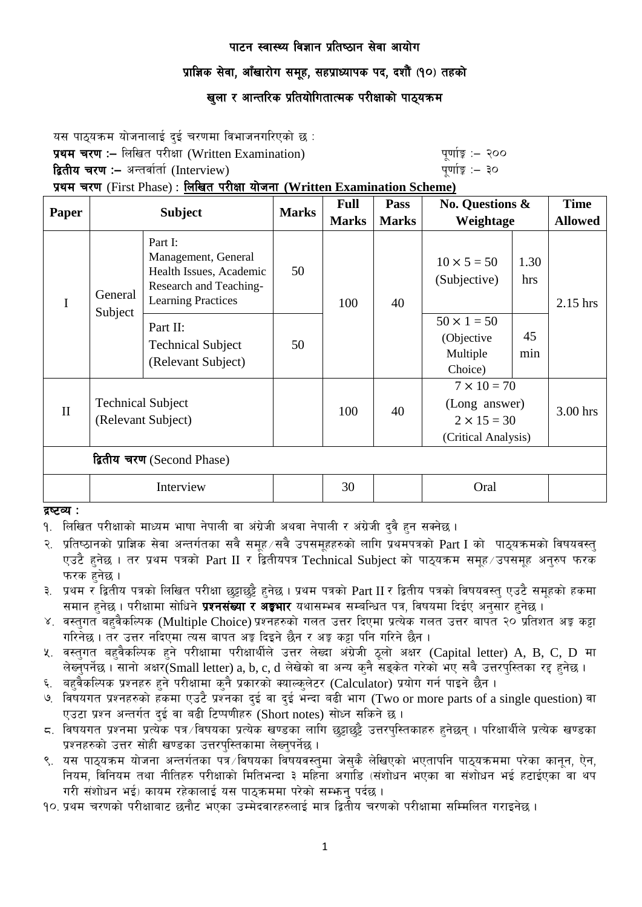## प्राज्ञिक सेवा, आँखारोग समूह, सहप्राध्यापक पद, दशौं (१०) तहको

## खुला र आन्तरिक प्रतियोगितात्मक परीक्षाको पाठ्यक्रम

यस पाठयक्रम योजनालाई दई चरणमा विभाजनगरिएको छ : प्रथम चरण :– लिखित परीक्षा (Written Examination) k" b" b" एर्णाङ्क :– २०० द्वितीय चरण :– अन्तर्वार्ता (Interview) katalactic metal metal metal metal wind wind with  $\frac{1}{2}$  and  $\frac{1}{2}$ प्रथम चरण (First Phase) : लिखित परीक्षा योजना (Written Examination Scheme)

| Paper                      | <b>Subject</b>                                 |                                                                                                                  | <b>Marks</b> | <b>Full</b>  | <b>Pass</b>  | <b>No. Questions &amp;</b>                                                       |             | <b>Time</b>    |
|----------------------------|------------------------------------------------|------------------------------------------------------------------------------------------------------------------|--------------|--------------|--------------|----------------------------------------------------------------------------------|-------------|----------------|
|                            |                                                |                                                                                                                  |              | <b>Marks</b> | <b>Marks</b> | Weightage                                                                        |             | <b>Allowed</b> |
| $\mathbf I$                | General<br>Subject                             | Part I:<br>Management, General<br>Health Issues, Academic<br>Research and Teaching-<br><b>Learning Practices</b> | 50           | 100          | 40           | $10 \times 5 = 50$<br>(Subjective)                                               | 1.30<br>hrs | 2.15 hrs       |
|                            |                                                | Part II:<br><b>Technical Subject</b><br>(Relevant Subject)                                                       | 50           |              |              | $50 \times 1 = 50$<br>(Objective<br>Multiple<br>Choice)                          | 45<br>min   |                |
| $\mathbf{I}$               | <b>Technical Subject</b><br>(Relevant Subject) |                                                                                                                  |              | 100          | 40           | $7 \times 10 = 70$<br>(Long answer)<br>$2 \times 15 = 30$<br>(Critical Analysis) |             | 3.00 hrs       |
| द्वितीय चरण (Second Phase) |                                                |                                                                                                                  |              |              |              |                                                                                  |             |                |
|                            | Interview                                      |                                                                                                                  |              | 30           |              | Oral                                                                             |             |                |

द्रष्टव्य :

- १. लिखित परीक्षाको माध्यम भाषा नेपाली वा अंग्रेजी अथवा नेपाली र अंग्रेजी दवै हुन सक्नेछ ।
- २. प्रतिष्ठानको प्राज्ञिक सेवा अन्तर्गतका सवै समूह सवै उपसमूहहरुको लागि प्रथमपत्रको  $\operatorname{Part}$  I को पाठ्यक्रमको विषयवस्त् एउटै हुनेछ । तर प्रथम पत्रको Part II र द्वितीयपत्र Technical Subject को पाठ्यक्रम समूह ⁄उपसमूह अनुरुप फरक फरक हनेछ ।
- ३. प्रथम र द्वितीय पत्रको लिखित परीक्षा छट्टाछट्टै हुनेछ । प्रथम पत्रको Part II र द्वितीय पत्रको विषयवस्त् एउटै समूहको हकमा समान हनेछ । परीक्षामा सोधिने **प्रश्नसंख्या र अङ्गभार** यथासम्भव सम्बन्धित पत्र, विषयमा दिईए अनुसार हनेछ ।
- ४. वस्तुगत बहुवैकल्पिक (Multiple Choice) प्रश्नहरुको गलत उत्तर दिएमा प्रत्येक गलत उत्तर बापत २० प्रतिशत अङ्ग कट्टा गरिनेछ । तर उत्तर नदिएमा त्यस बापत अङ्ग दिइने छैन र अङ्ग कट्टा पनि गरिने छैन ।
- ५. वस्तुगत बहुवैकल्पिक हुने परीक्षामा परीक्षार्थीले उत्तर लेख्दा अंग्रेजी ठुलो अक्षर (Capital letter) A, B, C, D मा लेख्नपर्नेछ । सानो अक्षर $\widetilde{\mathsf{S}}$ mall letter) a, b, c, d लेखेको वा अन्य कनै सड़केत गरेको भए सबै उत्तरपस्तिका रह हनेछ ।
- ६. बहवेकल्पिक प्रश्नहरु हुने परीक्षामा कुनै प्रकारको क्याल्कुलेटर (Calculator) प्रयोग गर्न पाइने छैन ।
- ७. विषयगत प्रश्नहरुको हकमा एउटै प्रश्नका दुई वा दुई भन्दा बढी भाग (Two or more parts of a single question) वा एउटा प्रश्न अन्तर्गत दई वा बढी टिप्पणीहरु (Short notes) सोध्न सकिने छ।
- द्र. विषयगत प्रश्नमा प्रत्येक पत्र ∕विषयका प्रत्येक खण्डका लागि छुट्टाछुट्टै उत्तरपस्तिकाहरु हनेछन् । परिक्षार्थीले प्रत्येक खण्डका प्रश्नहरुको उत्तर सोही खण्डका उत्तरपस्तिकामा लेख्नुपर्नेछ ।
- ९. यस पाठयक्रम योजना अन्तर्गतका पत्र विषयका विषयवस्तुमा जेसकै लेखिएको भएतापनि पाठयक्रममा परेका कानुन, ऐन, नियम, विनियम तथा नीतिहरु परीक्षाको मितिभन्दा ३ महिना अगाडि (संशोधन भएका वा संशोधन भई हटाईएका वा थप गरी संशोधन भई) कायम रहेकालाई यस पाठकममा परेको सम्भन पर्दछ ।
- <u>90. प्रथम चरणको परीक्षाबाट छनौट भएका उम्मेदवारहरुलाई मात्र द्वितीय चरणको परीक्षामा सम्मिलित गराइनेछ ।</u>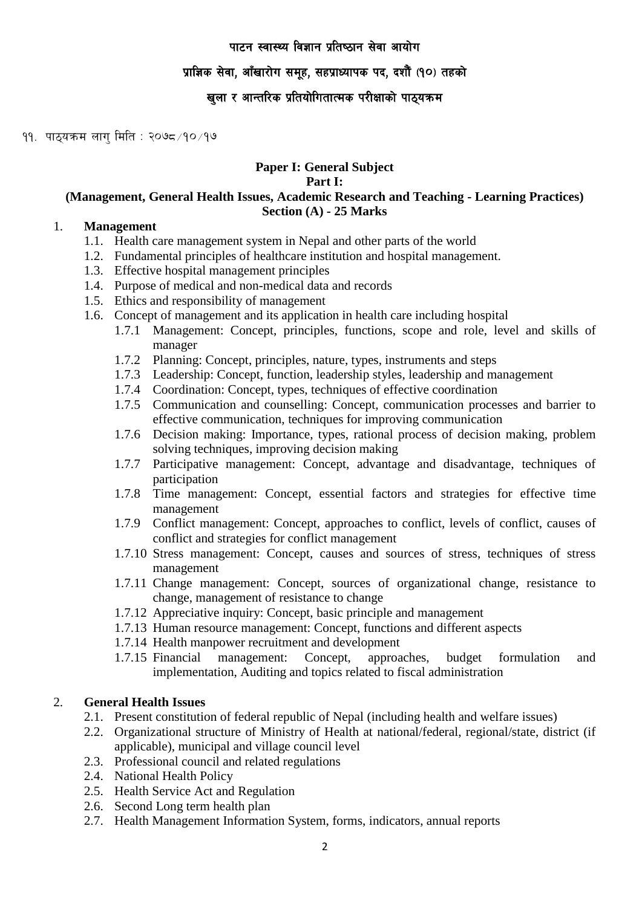#### प्राज्ञिक सेवा, आँखारोग समूह, सहप्राध्यापक पद, दशौं (१०) तहको

## खुला र आन्तरिक प्रतियोगितात्मक परीक्षाको पाठ्यक्रम

११. पाठ्यक्रम लाग मिति : २०७८ /१० /१७

## **Paper I: General Subject**

**Part I:** 

#### **(Management, General Health Issues, Academic Research and Teaching - Learning Practices) Section (A) - 25 Marks**

## 1. **Management**

- 1.1. Health care management system in Nepal and other parts of the world
- 1.2. Fundamental principles of healthcare institution and hospital management.
- 1.3. Effective hospital management principles
- 1.4. Purpose of medical and non-medical data and records
- 1.5. Ethics and responsibility of management
- 1.6. Concept of management and its application in health care including hospital
	- 1.7.1 Management: Concept, principles, functions, scope and role, level and skills of manager
	- 1.7.2 Planning: Concept, principles, nature, types, instruments and steps
	- 1.7.3 Leadership: Concept, function, leadership styles, leadership and management
	- 1.7.4 Coordination: Concept, types, techniques of effective coordination
	- 1.7.5 Communication and counselling: Concept, communication processes and barrier to effective communication, techniques for improving communication
	- 1.7.6 Decision making: Importance, types, rational process of decision making, problem solving techniques, improving decision making
	- 1.7.7 Participative management: Concept, advantage and disadvantage, techniques of participation
	- 1.7.8 Time management: Concept, essential factors and strategies for effective time management
	- 1.7.9 Conflict management: Concept, approaches to conflict, levels of conflict, causes of conflict and strategies for conflict management
	- 1.7.10 Stress management: Concept, causes and sources of stress, techniques of stress management
	- 1.7.11 Change management: Concept, sources of organizational change, resistance to change, management of resistance to change
	- 1.7.12 Appreciative inquiry: Concept, basic principle and management
	- 1.7.13 Human resource management: Concept, functions and different aspects
	- 1.7.14 Health manpower recruitment and development
	- 1.7.15 Financial management: Concept, approaches, budget formulation and implementation, Auditing and topics related to fiscal administration

## 2. **General Health Issues**

- 2.1. Present constitution of federal republic of Nepal (including health and welfare issues)
- 2.2. Organizational structure of Ministry of Health at national/federal, regional/state, district (if applicable), municipal and village council level
- 2.3. Professional council and related regulations
- 2.4. National Health Policy
- 2.5. Health Service Act and Regulation
- 2.6. Second Long term health plan
- 2.7. Health Management Information System, forms, indicators, annual reports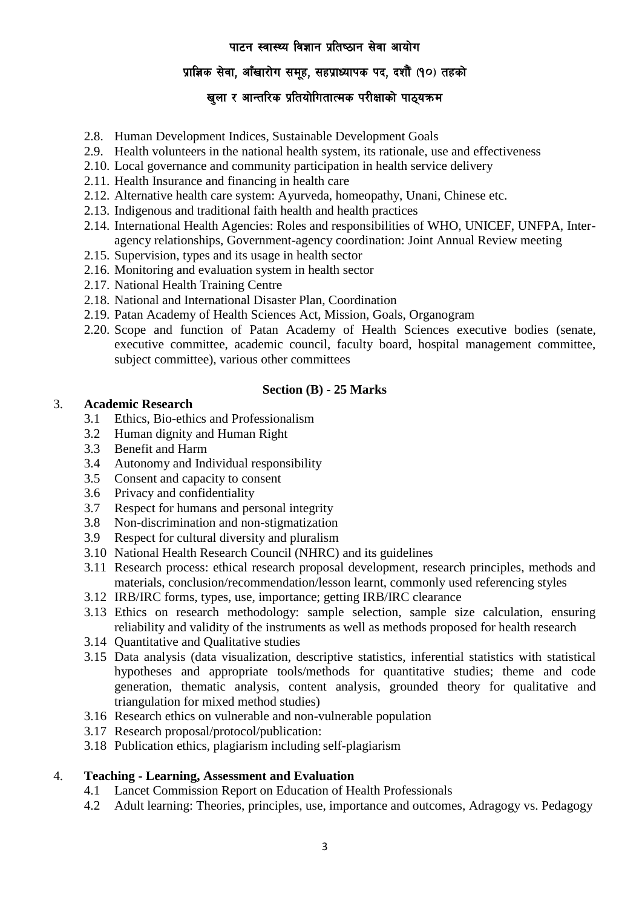## प्राज्ञिक सेवा, आँखारोग समुह, सहप्राध्यापक पद, दशौँ (१०) तहको

## खुला र आन्तरिक प्रतियोगितात्मक परीक्षाको पाठ्यक्रम

- 2.8. Human Development Indices, Sustainable Development Goals
- 2.9. Health volunteers in the national health system, its rationale, use and effectiveness
- 2.10. Local governance and community participation in health service delivery
- 2.11. Health Insurance and financing in health care
- 2.12. Alternative health care system: Ayurveda, homeopathy, Unani, Chinese etc.
- 2.13. Indigenous and traditional faith health and health practices
- 2.14. International Health Agencies: Roles and responsibilities of WHO, UNICEF, UNFPA, Interagency relationships, Government-agency coordination: Joint Annual Review meeting
- 2.15. Supervision, types and its usage in health sector
- 2.16. Monitoring and evaluation system in health sector
- 2.17. National Health Training Centre
- 2.18. National and International Disaster Plan, Coordination
- 2.19. Patan Academy of Health Sciences Act, Mission, Goals, Organogram
- 2.20. Scope and function of Patan Academy of Health Sciences executive bodies (senate, executive committee, academic council, faculty board, hospital management committee, subject committee), various other committees

## **Section (B) - 25 Marks**

#### 3. **Academic Research**

- 3.1 Ethics, Bio-ethics and Professionalism
- 3.2 Human dignity and Human Right
- 3.3 Benefit and Harm
- 3.4 Autonomy and Individual responsibility
- 3.5 Consent and capacity to consent
- 3.6 Privacy and confidentiality
- 3.7 Respect for humans and personal integrity
- 3.8 Non-discrimination and non-stigmatization
- 3.9 Respect for cultural diversity and pluralism
- 3.10 National Health Research Council (NHRC) and its guidelines
- 3.11 Research process: ethical research proposal development, research principles, methods and materials, conclusion/recommendation/lesson learnt, commonly used referencing styles
- 3.12 IRB/IRC forms, types, use, importance; getting IRB/IRC clearance
- 3.13 Ethics on research methodology: sample selection, sample size calculation, ensuring reliability and validity of the instruments as well as methods proposed for health research
- 3.14 Quantitative and Qualitative studies
- 3.15 Data analysis (data visualization, descriptive statistics, inferential statistics with statistical hypotheses and appropriate tools/methods for quantitative studies; theme and code generation, thematic analysis, content analysis, grounded theory for qualitative and triangulation for mixed method studies)
- 3.16 Research ethics on vulnerable and non-vulnerable population
- 3.17 Research proposal/protocol/publication:
- 3.18 Publication ethics, plagiarism including self-plagiarism

## 4. **Teaching - Learning, Assessment and Evaluation**

- 4.1 Lancet Commission Report on Education of Health Professionals
- 4.2 Adult learning: Theories, principles, use, importance and outcomes, Adragogy vs. Pedagogy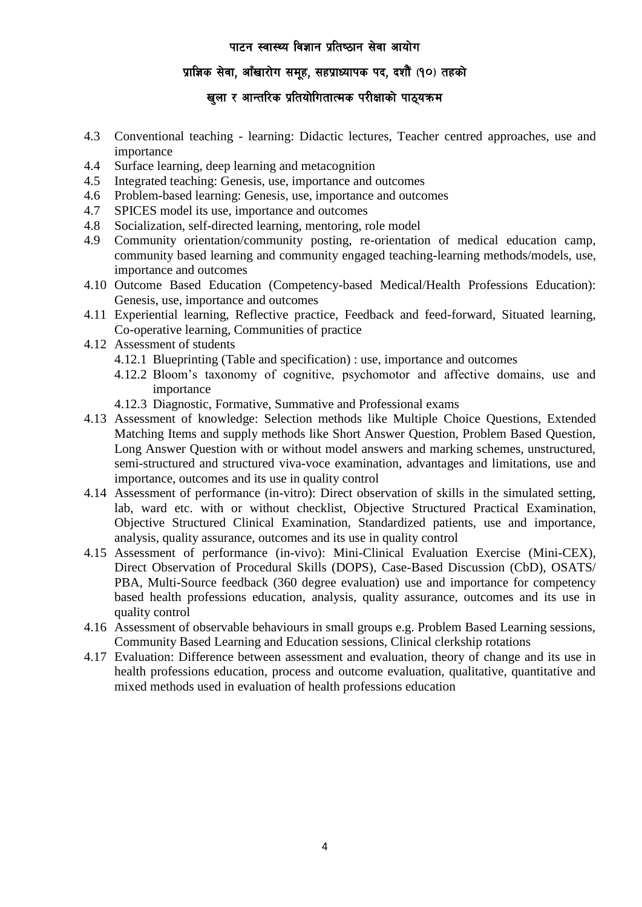## प्राज्ञिक सेवा, आँखारोग समुह, सहप्राध्यापक पद, दशौँ (१०) तहको

## खुला र आन्तरिक प्रतियोगितात्मक परीक्षाको पाठ्यक्रम

- 4.3 Conventional teaching learning: Didactic lectures, Teacher centred approaches, use and importance
- 4.4 Surface learning, deep learning and metacognition
- 4.5 Integrated teaching: Genesis, use, importance and outcomes
- 4.6 Problem-based learning: Genesis, use, importance and outcomes
- 4.7 SPICES model its use, importance and outcomes
- 4.8 Socialization, self-directed learning, mentoring, role model
- 4.9 Community orientation/community posting, re-orientation of medical education camp, community based learning and community engaged teaching-learning methods/models, use, importance and outcomes
- 4.10 Outcome Based Education (Competency-based Medical/Health Professions Education): Genesis, use, importance and outcomes
- 4.11 Experiential learning, Reflective practice, Feedback and feed-forward, Situated learning, Co-operative learning, Communities of practice
- 4.12 Assessment of students
	- 4.12.1 Blueprinting (Table and specification) : use, importance and outcomes
	- 4.12.2 Bloom's taxonomy of cognitive, psychomotor and affective domains, use and importance
	- 4.12.3 Diagnostic, Formative, Summative and Professional exams
- 4.13 Assessment of knowledge: Selection methods like Multiple Choice Questions, Extended Matching Items and supply methods like Short Answer Question, Problem Based Question, Long Answer Question with or without model answers and marking schemes, unstructured, semi-structured and structured viva-voce examination, advantages and limitations, use and importance, outcomes and its use in quality control
- 4.14 Assessment of performance (in-vitro): Direct observation of skills in the simulated setting, lab, ward etc. with or without checklist, Objective Structured Practical Examination, Objective Structured Clinical Examination, Standardized patients, use and importance, analysis, quality assurance, outcomes and its use in quality control
- 4.15 Assessment of performance (in-vivo): Mini-Clinical Evaluation Exercise (Mini-CEX), Direct Observation of Procedural Skills (DOPS), Case-Based Discussion (CbD), OSATS/ PBA, Multi-Source feedback (360 degree evaluation) use and importance for competency based health professions education, analysis, quality assurance, outcomes and its use in quality control
- 4.16 Assessment of observable behaviours in small groups e.g. Problem Based Learning sessions, Community Based Learning and Education sessions, Clinical clerkship rotations
- 4.17 Evaluation: Difference between assessment and evaluation, theory of change and its use in health professions education, process and outcome evaluation, qualitative, quantitative and mixed methods used in evaluation of health professions education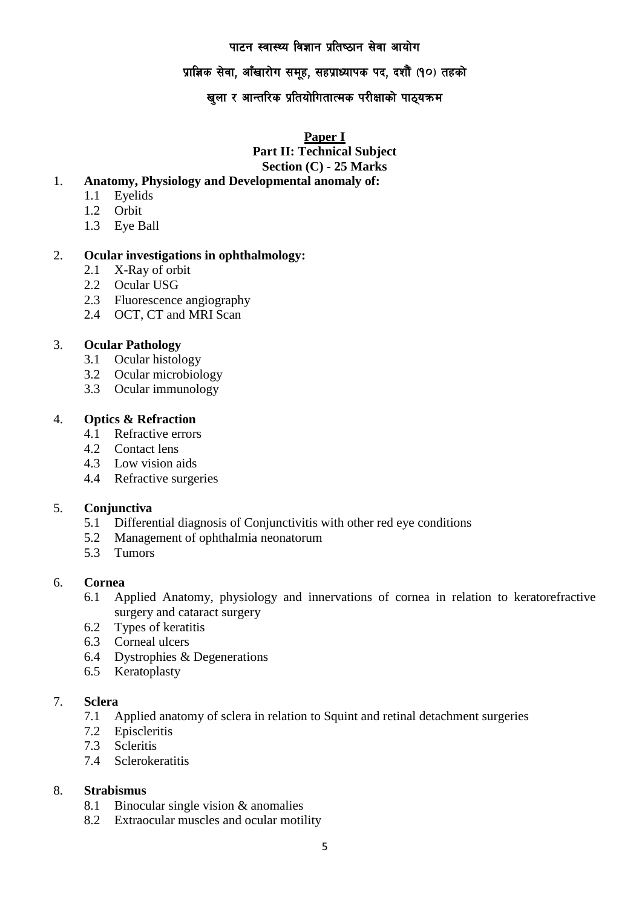## प्राज्ञिक सेवा, आँखारोग समूह, सहप्राध्यापक पद, दशौं (१०) तहको

## खुला र आन्तरिक प्रतियोगितात्मक परीक्षाको पाठ्यक्रम

**Paper I**

**Part II: Technical Subject Section (C) - 25 Marks**

#### 1. **Anatomy, Physiology and Developmental anomaly of:**

- 1.1 Eyelids
- 1.2 Orbit
- 1.3 Eye Ball

#### 2. **Ocular investigations in ophthalmology:**

- 2.1 X-Ray of orbit
- 2.2 Ocular USG
- 2.3 Fluorescence angiography
- 2.4 OCT, CT and MRI Scan

#### 3. **Ocular Pathology**

- 3.1 Ocular histology
- 3.2 Ocular microbiology
- 3.3 Ocular immunology

## 4. **Optics & Refraction**

- 4.1 Refractive errors
- 4.2 Contact lens
- 4.3 Low vision aids
- 4.4 Refractive surgeries

#### 5. **Conjunctiva**

- 5.1 Differential diagnosis of Conjunctivitis with other red eye conditions
- 5.2 Management of ophthalmia neonatorum
- 5.3 Tumors

#### 6. **Cornea**

- 6.1 Applied Anatomy, physiology and innervations of cornea in relation to keratorefractive surgery and cataract surgery
- 6.2 Types of keratitis
- 6.3 Corneal ulcers
- 6.4 Dystrophies & Degenerations
- 6.5 Keratoplasty

## 7. **Sclera**

- 7.1 Applied anatomy of sclera in relation to Squint and retinal detachment surgeries
- 7.2 Episcleritis
- 7.3 Scleritis
- 7.4 Sclerokeratitis

#### 8. **Strabismus**

- 8.1 Binocular single vision & anomalies
- 8.2 Extraocular muscles and ocular motility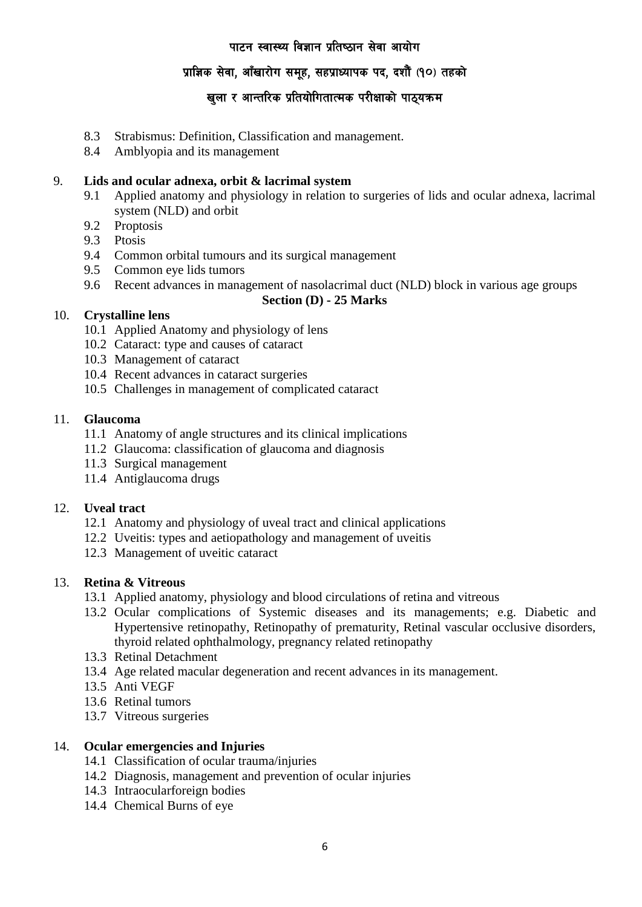## प्राज्ञिक सेवा, आँखारोग समूह, सहप्राध्यापक पद, दशौं (१०) तहको

## खुला र आन्तरिक प्रतियोगितात्मक परीक्षाको पाठ्यक्रम

- 8.3 Strabismus: Definition, Classification and management.
- 8.4 Amblyopia and its management

## 9. **Lids and ocular adnexa, orbit & lacrimal system**

- 9.1 Applied anatomy and physiology in relation to surgeries of lids and ocular adnexa, lacrimal system (NLD) and orbit
- 9.2 Proptosis
- 9.3 Ptosis
- 9.4 Common orbital tumours and its surgical management
- 9.5 Common eye lids tumors
- 9.6 Recent advances in management of nasolacrimal duct (NLD) block in various age groups

#### **Section (D) - 25 Marks**

#### 10. **Crystalline lens**

- 10.1 Applied Anatomy and physiology of lens
- 10.2 Cataract: type and causes of cataract
- 10.3 Management of cataract
- 10.4 Recent advances in cataract surgeries
- 10.5 Challenges in management of complicated cataract

#### 11. **Glaucoma**

- 11.1 Anatomy of angle structures and its clinical implications
- 11.2 Glaucoma: classification of glaucoma and diagnosis
- 11.3 Surgical management
- 11.4 Antiglaucoma drugs

## 12. **Uveal tract**

- 12.1 Anatomy and physiology of uveal tract and clinical applications
- 12.2 Uveitis: types and aetiopathology and management of uveitis
- 12.3 Management of uveitic cataract

#### 13. **Retina & Vitreous**

- 13.1 Applied anatomy, physiology and blood circulations of retina and vitreous
- 13.2 Ocular complications of Systemic diseases and its managements; e.g. Diabetic and Hypertensive retinopathy, Retinopathy of prematurity, Retinal vascular occlusive disorders, thyroid related ophthalmology, pregnancy related retinopathy
- 13.3 Retinal Detachment
- 13.4 Age related macular degeneration and recent advances in its management.
- 13.5 Anti VEGF
- 13.6 Retinal tumors
- 13.7 Vitreous surgeries

## 14. **Ocular emergencies and Injuries**

- 14.1 Classification of ocular trauma/injuries
- 14.2 Diagnosis, management and prevention of ocular injuries
- 14.3 Intraocularforeign bodies
- 14.4 Chemical Burns of eye